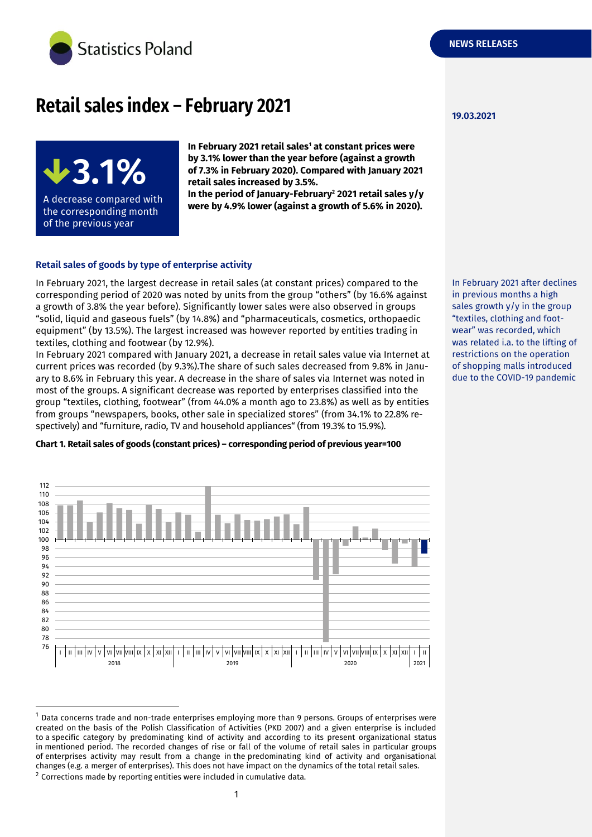

# **Retail sales index – February 2021**



**In February 2021 retail sales<sup>1</sup> at constant prices were by 3.1% lower than the year before (against a growth of 7.3% in February 2020). Compared with January 2021 retail sales increased by 3.5%.**

**In the period of January-February<sup>2</sup> 2021 retail sales y/y were by 4.9% lower (against a growth of 5.6% in 2020).**

### **Retail sales of goods by type of enterprise activity**

In February 2021, the largest decrease in retail sales (at constant prices) compared to the corresponding period of 2020 was noted by units from the group "others" (by 16.6% against a growth of 3.8% the year before). Significantly lower sales were also observed in groups "solid, liquid and gaseous fuels" (by 14.8%) and "pharmaceuticals, cosmetics, orthopaedic equipment" (by 13.5%). The largest increased was however reported by entities trading in textiles, clothing and footwear (by 12.9%).

In February 2021 compared with January 2021, a decrease in retail sales value via Internet at current prices was recorded (by 9.3%).The share of such sales decreased from 9.8% in January to 8.6% in February this year. A decrease in the share of sales via Internet was noted in most of the groups. A significant decrease was reported by enterprises classified into the group "textiles, clothing, footwear" (from 44.0% a month ago to 23.8%) as well as by entities from groups "newspapers, books, other sale in specialized stores" (from 34.1% to 22.8% respectively) and "furniture, radio, TV and household appliances" (from 19.3% to 15.9%).

## **Chart 1. Retail sales of goods (constant prices) – corresponding period of previous year=100**



<sup>1</sup> Data concerns trade and non-trade enterprises employing more than 9 persons. Groups of enterprises were created on the basis of the Polish Classification of Activities (PKD 2007) and a given enterprise is included to a specific category by predominating kind of activity and according to its present organizational status in mentioned period. The recorded changes of rise or fall of the volume of retail sales in particular groups of enterprises activity may result from a change in the predominating kind of activity and organisational changes (e.g. a merger of enterprises). This does not have impact on the dynamics of the total retail sales.

-

In February 2021 after declines in previous months a high sales growth y/y in the group "textiles, clothing and footwear" was recorded, which was related i.a. to the lifting of restrictions on the operation of shopping malls introduced due to the COVID-19 pandemic

 $2$  Corrections made by reporting entities were included in cumulative data.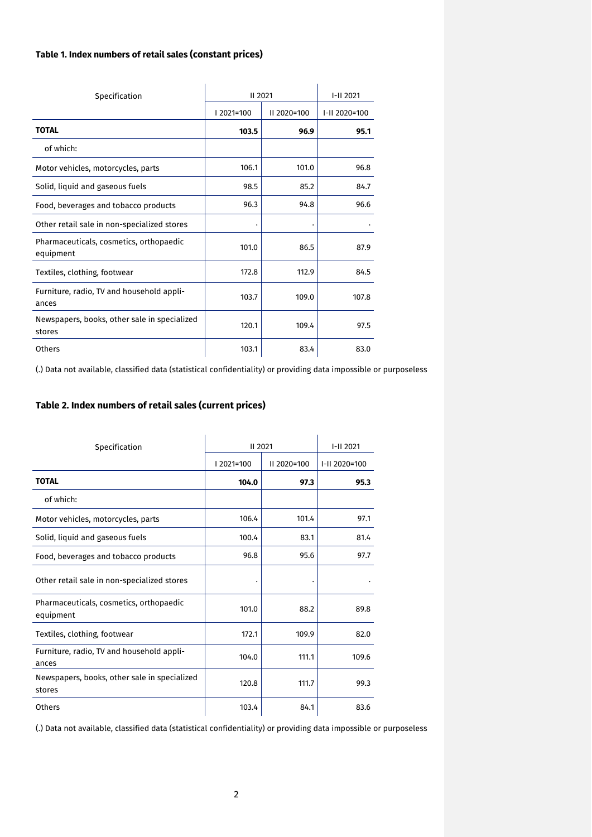## **Table 1. Index numbers of retail sales (constant prices)**

|                                                        | II 2021  |             | I-II 2021     |
|--------------------------------------------------------|----------|-------------|---------------|
| Specification                                          |          |             |               |
|                                                        | 2021=100 | II 2020=100 | I-II 2020=100 |
| <b>TOTAL</b>                                           | 103.5    | 96.9        | 95.1          |
| of which:                                              |          |             |               |
| Motor vehicles, motorcycles, parts                     | 106.1    | 101.0       | 96.8          |
| Solid, liquid and gaseous fuels                        | 98.5     | 85.2        | 84.7          |
| Food, beverages and tobacco products                   | 96.3     | 94.8        | 96.6          |
| Other retail sale in non-specialized stores            |          |             |               |
| Pharmaceuticals, cosmetics, orthopaedic<br>equipment   | 101.0    | 86.5        | 87.9          |
| Textiles, clothing, footwear                           | 172.8    | 112.9       | 84.5          |
| Furniture, radio, TV and household appli-<br>ances     | 103.7    | 109.0       | 107.8         |
| Newspapers, books, other sale in specialized<br>stores | 120.1    | 109.4       | 97.5          |
| Others                                                 | 103.1    | 83.4        | 83.0          |

(.) Data not available, classified data (statistical confidentiality) or providing data impossible or purposeless

# **Table 2. Index numbers of retail sales (current prices)**

| Specification                                          | II 2021  |             | I-II 2021     |
|--------------------------------------------------------|----------|-------------|---------------|
|                                                        | 2021=100 | II 2020=100 | I-II 2020=100 |
| <b>TOTAL</b>                                           | 104.0    | 97.3        | 95.3          |
| of which:                                              |          |             |               |
| Motor vehicles, motorcycles, parts                     | 106.4    | 101.4       | 97.1          |
| Solid, liquid and gaseous fuels                        | 100.4    | 83.1        | 81.4          |
| Food, beverages and tobacco products                   | 96.8     | 95.6        | 97.7          |
| Other retail sale in non-specialized stores            |          |             |               |
| Pharmaceuticals, cosmetics, orthopaedic<br>equipment   | 101.0    | 88.2        | 89.8          |
| Textiles, clothing, footwear                           | 172.1    | 109.9       | 82.0          |
| Furniture, radio, TV and household appli-<br>ances     | 104.0    | 111.1       | 109.6         |
| Newspapers, books, other sale in specialized<br>stores | 120.8    | 111.7       | 99.3          |
| Others                                                 | 103.4    | 84.1        | 83.6          |

(.) Data not available, classified data (statistical confidentiality) or providing data impossible or purposeless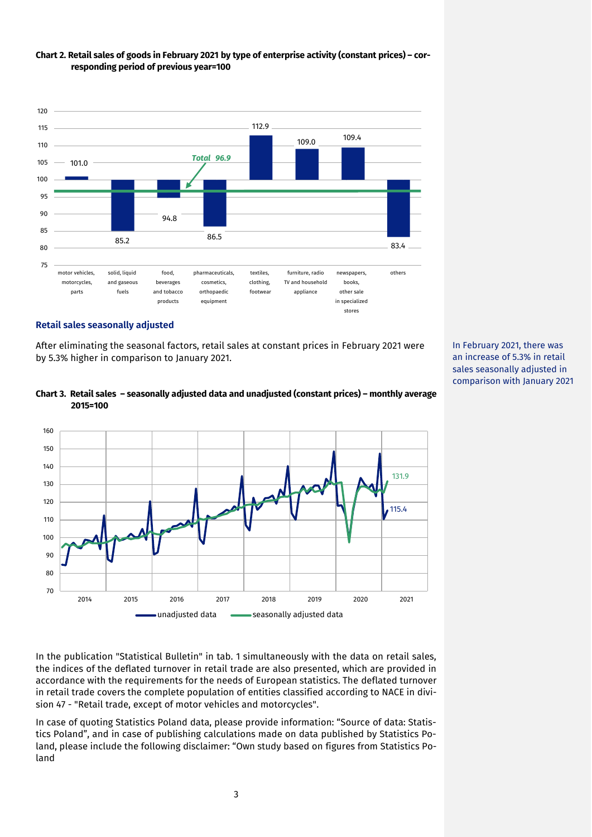

## **Chart 2. Retail sales of goods in February 2021 by type of enterprise activity (constant prices) – corresponding period of previous year=100**

### **Retail sales seasonally adjusted**

After eliminating the seasonal factors, retail sales at constant prices in February 2021 were by 5.3% higher in comparison to January 2021.



## **Chart 3. Retail sales – seasonally adjusted data and unadjusted (constant prices) – monthly average 2015=100**

In the publication "Statistical Bulletin" in tab. 1 simultaneously with the data on retail sales, the indices of the deflated turnover in retail trade are also presented, which are provided in accordance with the requirements for the needs of European statistics. The deflated turnover in retail trade covers the complete population of entities classified according to NACE in division 47 - "Retail trade, except of motor vehicles and motorcycles".

In case of quoting Statistics Poland data, please provide information: "Source of data: Statistics Poland", and in case of publishing calculations made on data published by Statistics Poland, please include the following disclaimer: "Own study based on figures from Statistics Poland

In February 2021, there was an increase of 5.3% in retail sales seasonally adjusted in comparison with January 2021